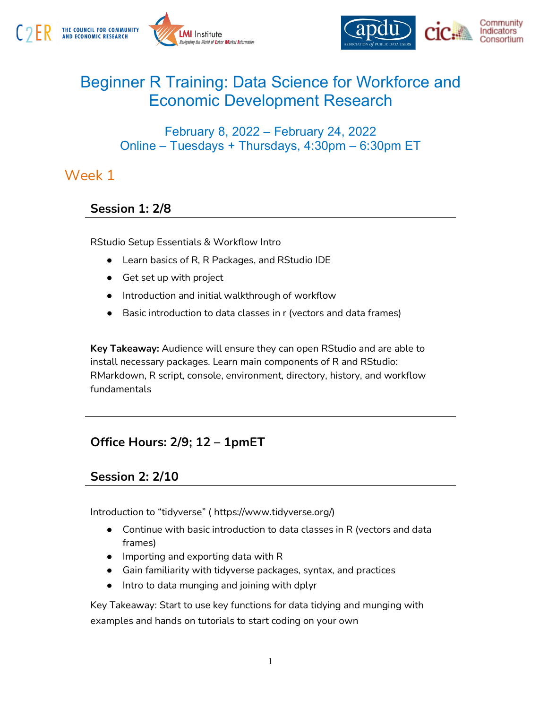



# Beginner R Training: Data Science for Workforce and Economic Development Research

#### February 8, 2022 – February 24, 2022 Online – Tuesdays + Thursdays, 4:30pm – 6:30pm ET

### Week 1

#### **Session 1: 2/8**

RStudio Setup Essentials & Workflow Intro

- Learn basics of R, R Packages, and RStudio IDE
- Get set up with project
- Introduction and initial walkthrough of workflow
- Basic introduction to data classes in r (vectors and data frames)

**Key Takeaway:** Audience will ensure they can open RStudio and are able to install necessary packages. Learn main components of R and RStudio: RMarkdown, R script, console, environment, directory, history, and workflow fundamentals

#### **Office Hours: 2/9; 12 – 1pmET**

#### **Session 2: 2/10**

Introduction to "tidyverse" ( https://www.tidyverse.org/)

- Continue with basic introduction to data classes in R (vectors and data frames)
- Importing and exporting data with R
- Gain familiarity with tidyverse packages, syntax, and practices
- Intro to data munging and joining with dplyr

Key Takeaway: Start to use key functions for data tidying and munging with examples and hands on tutorials to start coding on your own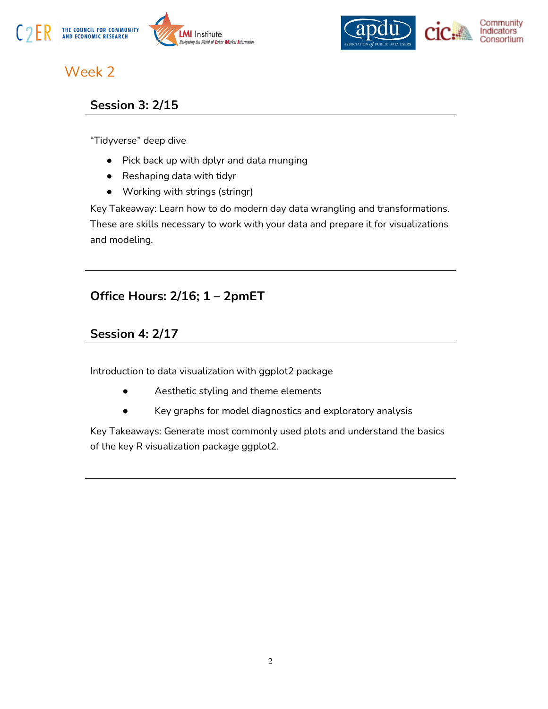



## Week 2

#### **Session 3: 2/15**

"Tidyverse" deep dive

- Pick back up with dplyr and data munging
- Reshaping data with tidyr
- Working with strings (stringr)

Key Takeaway: Learn how to do modern day data wrangling and transformations. These are skills necessary to work with your data and prepare it for visualizations and modeling.

#### **Office Hours: 2/16; 1 – 2pmET**

#### **Session 4: 2/17**

Introduction to data visualization with ggplot2 package

- Aesthetic styling and theme elements
- Key graphs for model diagnostics and exploratory analysis

Key Takeaways: Generate most commonly used plots and understand the basics of the key R visualization package ggplot2.